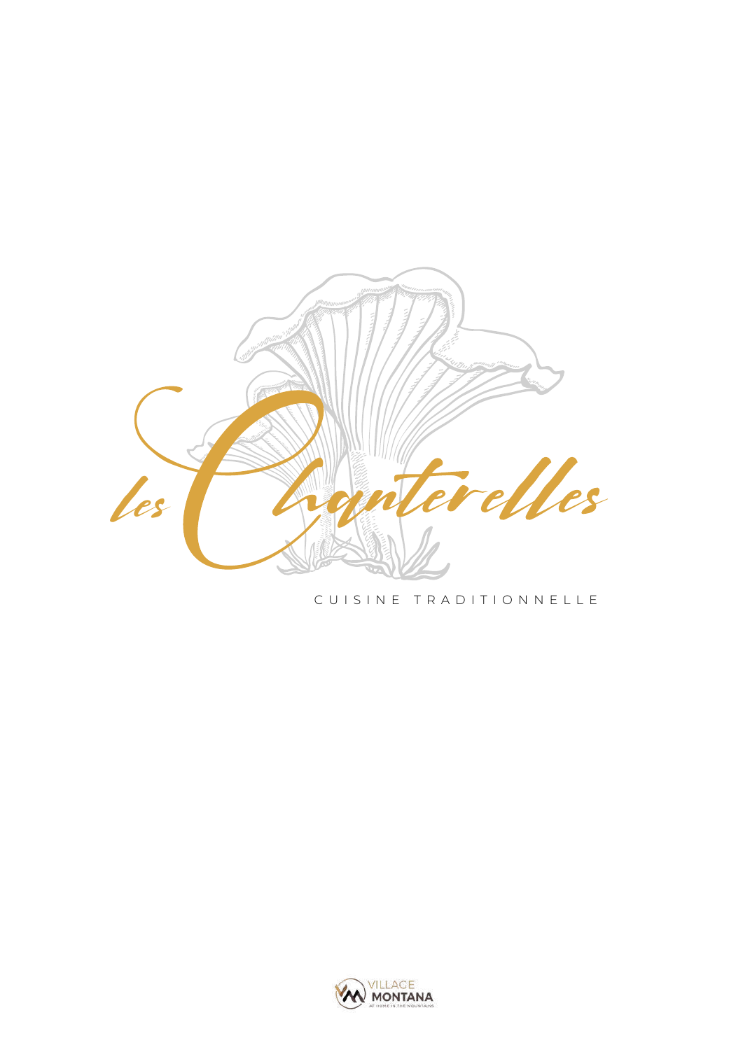

#### CUISINE TRADITIONNELLE

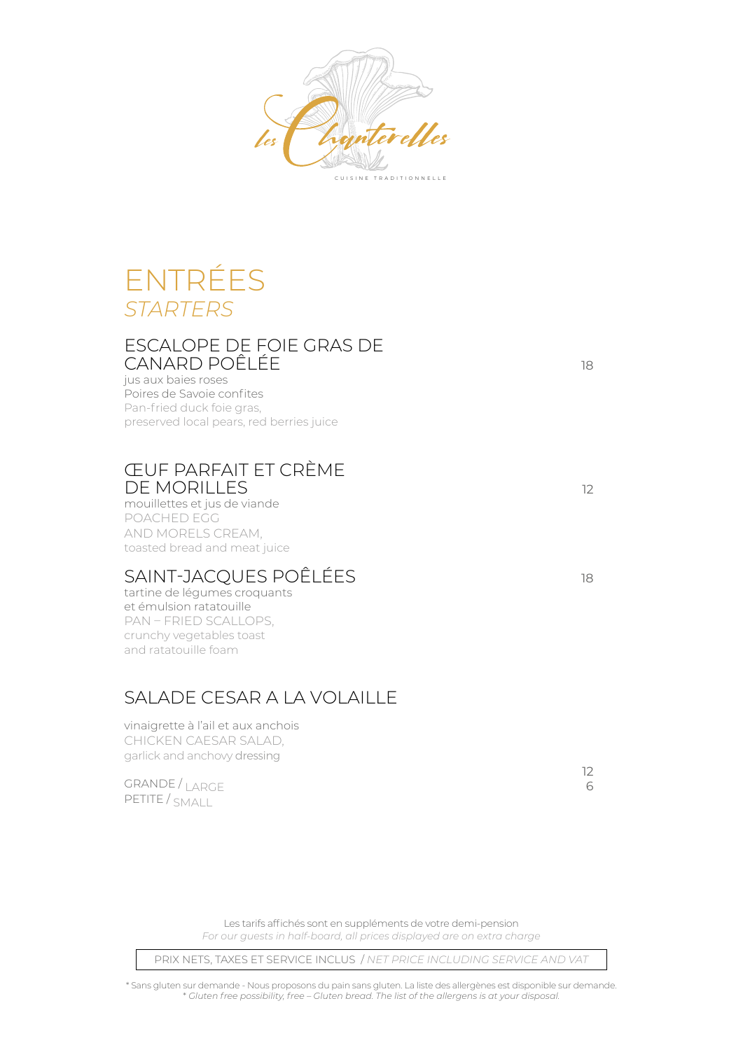

## ENTRÉES *STARTERS*

#### ESCALOPE DE FOIE GRAS DE CANARD POÊLÉE 18

jus aux baies roses Poires de Savoie confites Pan-fried duck foie gras, preserved local pears, red berries juice

### ŒUF PARFAIT ET CRÈME DE MORILLES <sup>12</sup>

mouillettes et jus de viande POACHED EGG AND MORELS CREAM, toasted bread and meat juice

### SAINT-JACQUES POÊLÉES 18

tartine de légumes croquants et émulsion ratatouille PAN – FRIED SCALLOPS, crunchy vegetables toast and ratatouille foam

### SALADE CESAR A LA VOLAILLE

vinaigrette à l'ail et aux anchois CHICKEN CAESAR SALAD, garlick and anchovy dressing

GRANDE / LARGE PETITE / SMALL

<u>12</u> 6

Les tarifs affichés sont en suppléments de votre demi-pension *For our guests in half-board, all prices displayed are on extra charge*

PRIX NETS, TAXES ET SERVICE INCLUS / *NET PRICE INCLUDING SERVICE AND VAT*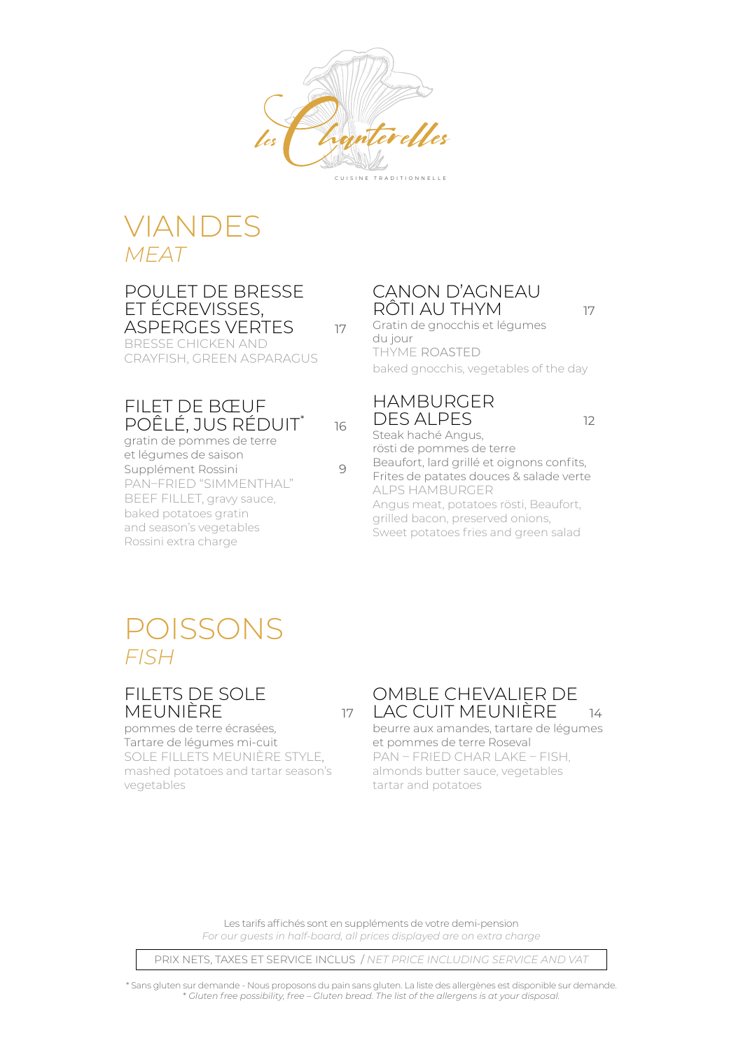

## VIANDES *MEAT*

#### POULET DE BRESSE ET ÉCREVISSES, ASPERGES VERTES 17

16

BRESSE CHICKEN AND CRAYFISH, GREEN ASPARAGUS

### FILET DE BŒUF POÊLÉ, JUS RÉDUIT\*

gratin de pommes de terre et légumes de saison Supplément Rossini 9 PAN–FRIED "SIMMENTHAL" BEEF FILLET, gravy sauce, baked potatoes gratin and season's vegetables Rossini extra charge

### CANON D'AGNEAU RÔTI AU THYM <sup>17</sup>

Gratin de gnocchis et légumes du jour THYME ROASTED baked gnocchis, vegetables of the day

### HAMBURGER DES ALPES 12

Steak haché Angus, rösti de pommes de terre Beaufort, lard grillé et oignons confits, Frites de patates douces & salade verte ALPS HAMBURGER Angus meat, potatoes rösti, Beaufort, grilled bacon, preserved onions, Sweet potatoes fries and green salad

## POISSONS *FISH*

### FILETS DE SOLE MEUNIÈRE 17

pommes de terre écrasées, Tartare de légumes mi-cuit SOLE FILLETS MEUNIÈRE STYLE, mashed potatoes and tartar season's vegetables

#### OMBLE CHEVALIER DE LAC CUIT MEUNIÈRE 14

beurre aux amandes, tartare de légumes et pommes de terre Roseval PAN – FRIED CHAR LAKE – FISH, almonds butter sauce, vegetables tartar and potatoes

Les tarifs affichés sont en suppléments de votre demi-pension *For our guests in half-board, all prices displayed are on extra charge*

PRIX NETS, TAXES ET SERVICE INCLUS / *NET PRICE INCLUDING SERVICE AND VAT*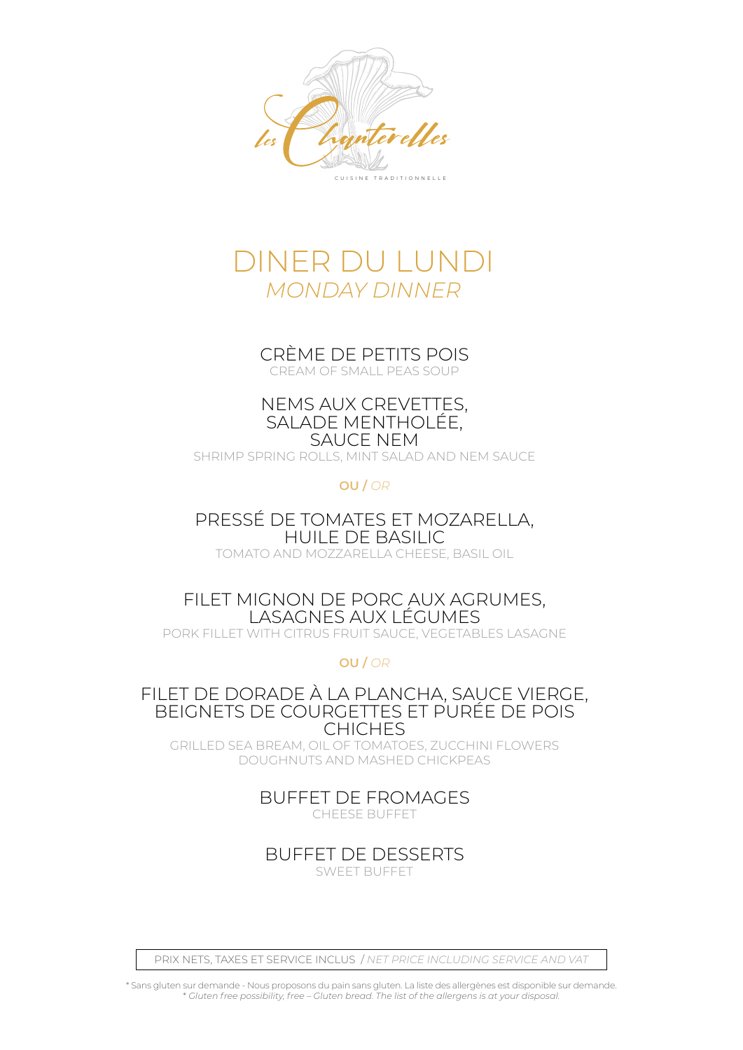

## DINER DU LUNDI *MONDAY DINNER*

## CRÈME DE PETITS POIS

CREAM OF SMALL PEAS SOUP

#### NEMS AUX CREVETTES, SALADE MENTHOLÉE, SAUCE NEM

SHRIMP SPRING ROLLS, MINT SALAD AND NEM SAUCE

**OU /** *OR*

PRESSÉ DE TOMATES ET MOZARELLA, HUILE DE BASILIC TOMATO AND MOZZARELLA CHEESE, BASIL OIL

FILET MIGNON DE PORC AUX AGRUMES, LASAGNES AUX LÉGUMES PORK FILLET WITH CITRUS FRUIT SAUCE, VEGETABLES LASAGNE

**OU /** *OR*

FILET DE DORADE À LA PLANCHA, SAUCE VIERGE, BEIGNETS DE COURGETTES ET PURÉE DE POIS **CHICHES** 

GRILLED SEA BREAM, OIL OF TOMATOES, ZUCCHINI FLOWERS DOUGHNUTS AND MASHED CHICKPEAS

> BUFFET DE FROMAGES CHEESE BUFFET

BUFFET DE DESSERTS SWEET BUFFET

PRIX NETS, TAXES ET SERVICE INCLUS / *NET PRICE INCLUDING SERVICE AND VAT*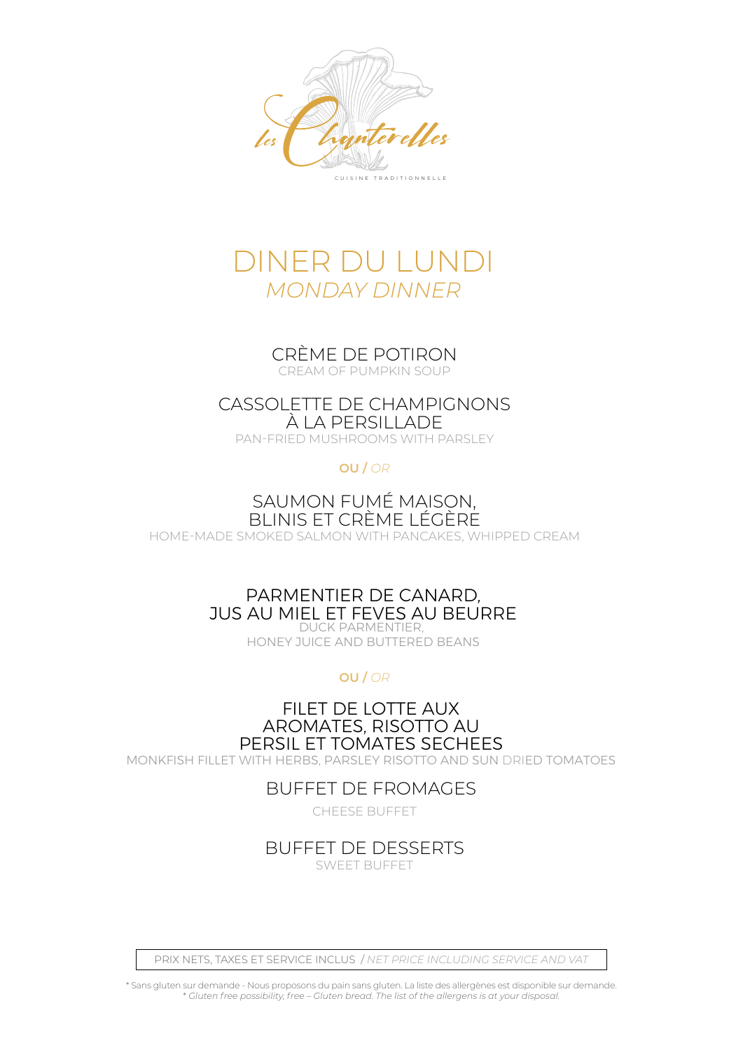



CRÈME DE POTIRON CREAM OF PUMPKIN SOUP

### CASSOLETTE DE CHAMPIGNONS À LA PERSILLADE

PAN-FRIED MUSHROOMS WITH PARSLEY

**OU /** *OR*

#### SAUMON FUMÉ MAISON, BLINIS ET CRÈME LÉGÈRE

HOME-MADE SMOKED SALMON WITH PANCAKES, WHIPPED CREAM

#### PARMENTIER DE CANARD, JUS AU MIEL ET FEVES AU BEURRE DUCK PARMENTIER,

HONEY JUICE AND BUTTERED BEANS

**OU /** *OR*

FILET DE LOTTE AUX AROMATES, RISOTTO AU PERSIL ET TOMATES SECHEES MONKFISH FILLET WITH HERBS, PARSLEY RISOTTO AND SUN DRIED TOMATOES

### BUFFET DE FROMAGES

CHEESE BUFFET

### BUFFET DE DESSERTS

SWEET BUFFET

PRIX NETS, TAXES ET SERVICE INCLUS / *NET PRICE INCLUDING SERVICE AND VAT*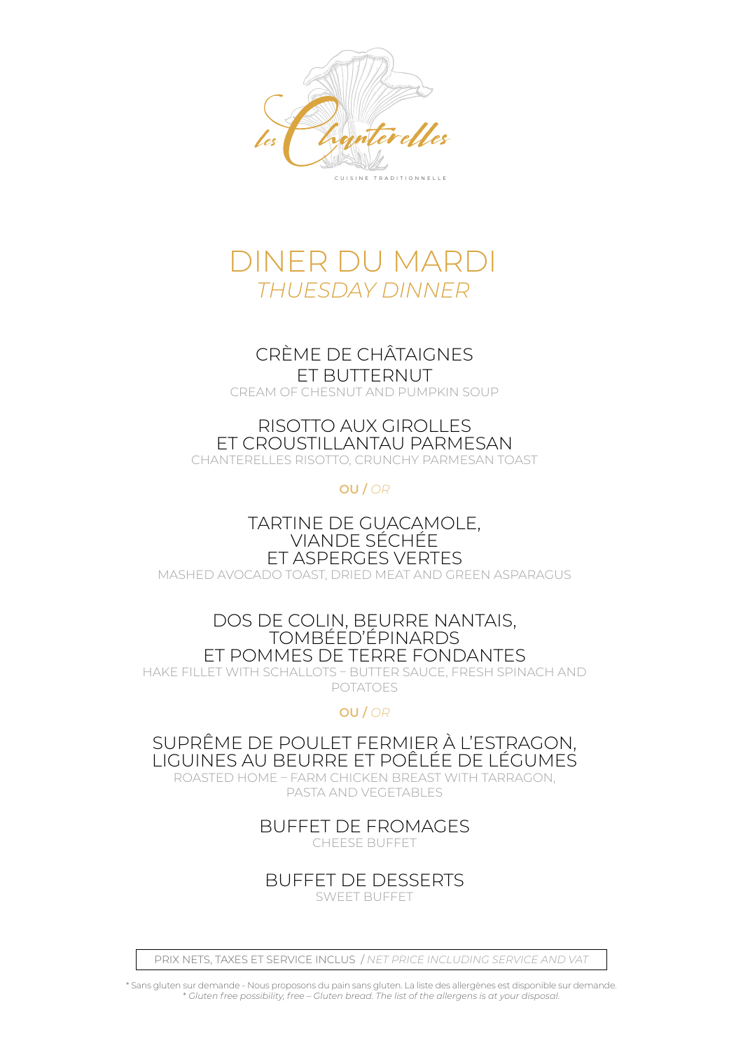

## DINER DU MARDI *THUESDAY DINNER*

### CRÈME DE CHÂTAIGNES ET BUTTERNUT

CREAM OF CHESNUT AND PUMPKIN SOUP

### RISOTTO AUX GIROLLES ET CROUSTILLANTAU PARMESAN

CHANTERELLES RISOTTO, CRUNCHY PARMESAN TOAST

**OU /** *OR*

TARTINE DE GUACAMOLE, VIANDE SÉCHÉE ET ASPERGES VERTES

MASHED AVOCADO TOAST, DRIED MEAT AND GREEN ASPARAGUS

#### DOS DE COLIN, BEURRE NANTAIS, TOMBÉED'ÉPINARDS ET POMMES DE TERRE FONDANTES

HAKE FILLET WITH SCHALLOTS – BUTTER SAUCE, FRESH SPINACH AND POTATOES

### **OU /** *OR*

SUPRÊME DE POULET FERMIER À L'ESTRAGON, LIGUINES AU BEURRE ET POÊLÉE DE LÉGUMES

ROASTED HOME – FARM CHICKEN BREAST WITH TARRAGON, PASTA AND VEGETABLES

> BUFFET DE FROMAGES CHEESE BUFFET

BUFFET DE DESSERTS SWEET BUFFET

PRIX NETS, TAXES ET SERVICE INCLUS / *NET PRICE INCLUDING SERVICE AND VAT*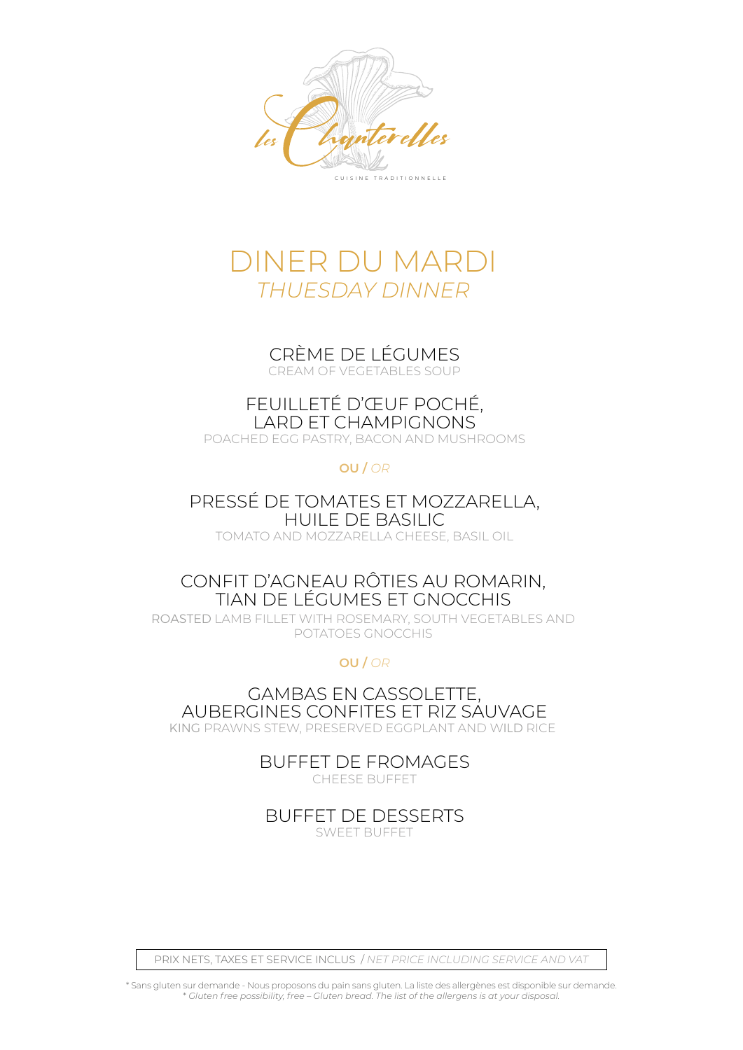

## DINER DU MARDI *THUESDAY DINNER*

### CRÈME DE LÉGUMES

CREAM OF VEGETABLES SOUP

### FEUILLETÉ D'ŒUF POCHÉ, LARD ET CHAMPIGNONS

POACHED EGG PASTRY, BACON AND MUSHROOMS

#### **OU /** *OR*

### PRESSÉ DE TOMATES ET MOZZARELLA, HUILE DE BASILIC

TOMATO AND MOZZARELLA CHEESE, BASIL OIL

### CONFIT D'AGNEAU RÔTIES AU ROMARIN, TIAN DE LÉGUMES ET GNOCCHIS

ROASTED LAMB FILLET WITH ROSEMARY, SOUTH VEGETABLES AND POTATOES GNOCCHIS

**OU /** *OR*

GAMBAS EN CASSOLETTE, AUBERGINES CONFITES ET RIZ SAUVAGE KING PRAWNS STEW, PRESERVED EGGPLANT AND WILD RICE

> BUFFET DE FROMAGES CHEESE BUFFET

BUFFET DE DESSERTS SWEET BUFFET

PRIX NETS, TAXES ET SERVICE INCLUS / *NET PRICE INCLUDING SERVICE AND VAT*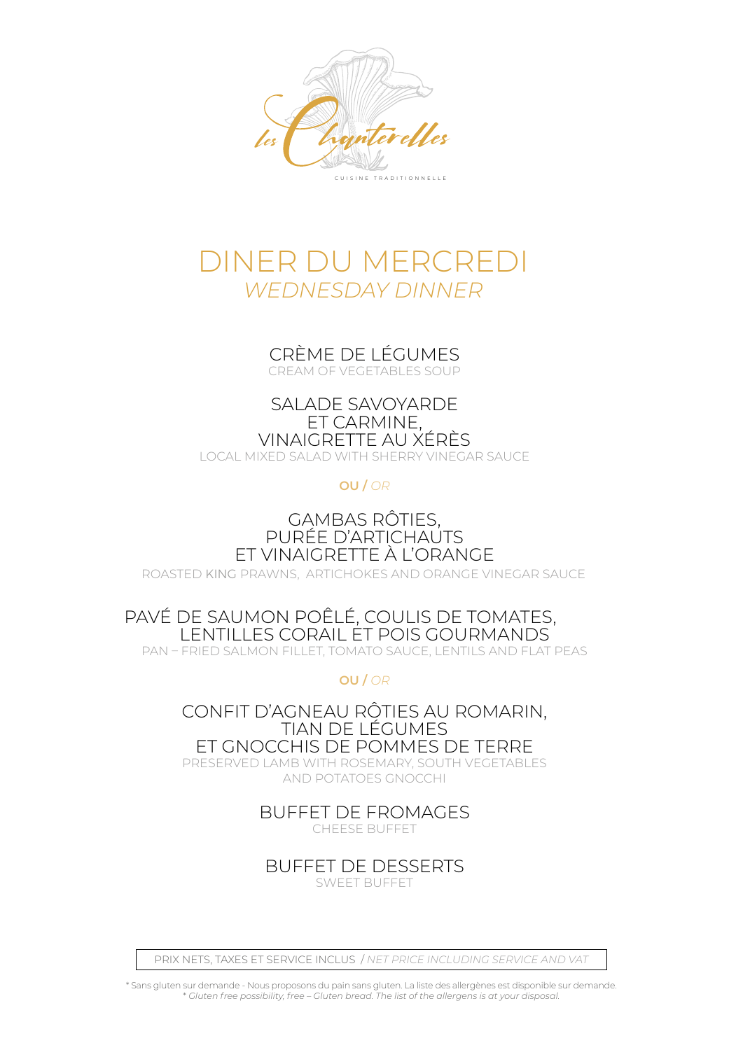

## DINER DU MERCREDI *WEDNESDAY DINNER*

### CRÈME DE LÉGUMES

CREAM OF VEGETABLES SOUP

SALADE SAVOYARDE ET CARMINE, VINAIGRETTE AU XÉRÈS LOCAL MIXED SALAD WITH SHERRY VINEGAR SAUCE

**OU /** *OR*

### GAMBAS RÔTIES, PURÉE D'ARTICHAUTS ET VINAIGRETTE À L'ORANGE

ROASTED KING PRAWNS, ARTICHOKES AND ORANGE VINEGAR SAUCE

### PAVÉ DE SAUMON POÊLÉ, COULIS DE TOMATES, LENTILLES CORAIL ET POIS GOURMANDS

PAN – FRIED SALMON FILLET, TOMATO SAUCE, LENTILS AND FLAT PEAS

**OU /** *OR*

CONFIT D'AGNEAU RÔTIES AU ROMARIN, TIAN DE LÉGUMES ET GNOCCHIS DE POMMES DE TERRE

PRESERVED LAMB WITH ROSEMARY, SOUTH VEGETABLES AND POTATOES GNOCCHI

### BUFFET DE FROMAGES

CHEESE BUFFET

BUFFET DE DESSERTS

SWEET BUFFET

PRIX NETS, TAXES ET SERVICE INCLUS / *NET PRICE INCLUDING SERVICE AND VAT*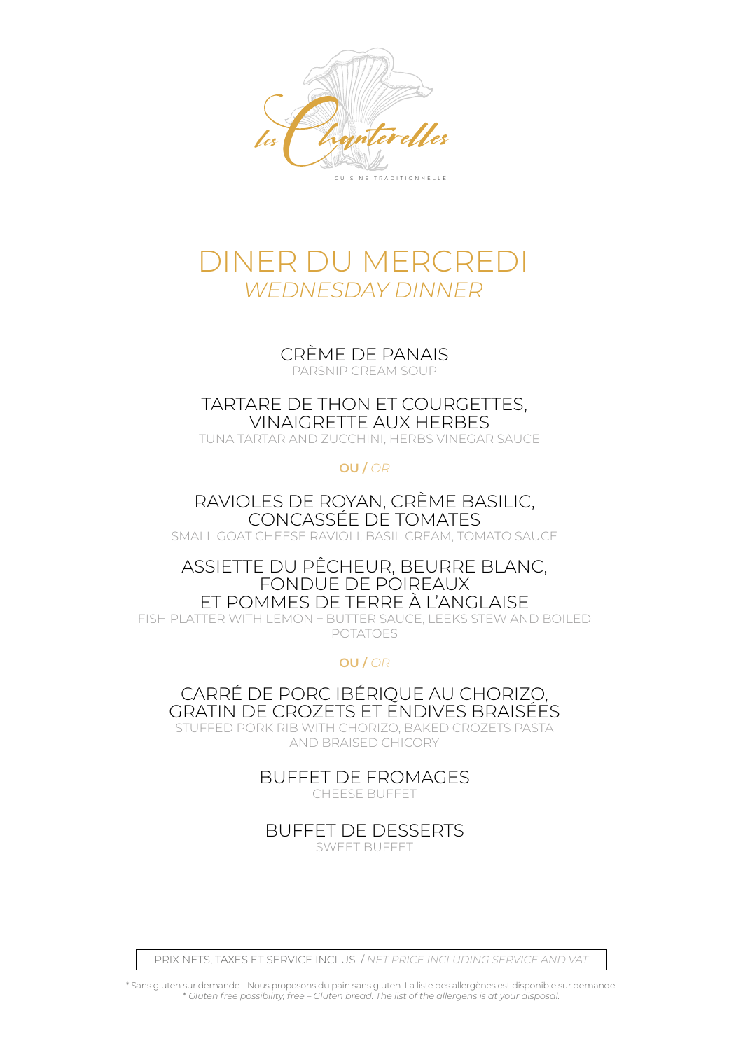

## DINER DU MERCREDI *WEDNESDAY DINNER*

CRÈME DE PANAIS

PARSNIP CREAM SOUP

TARTARE DE THON ET COURGETTES, VINAIGRETTE AUX HERBES

TUNA TARTAR AND ZUCCHINI, HERBS VINEGAR SAUCE

#### **OU /** *OR*

RAVIOLES DE ROYAN, CRÈME BASILIC, CONCASSÉE DE TOMATES SMALL GOAT CHEESE RAVIOLI, BASIL CREAM, TOMATO SAUCE

#### ASSIETTE DU PÊCHEUR, BEURRE BLANC, FONDUE DE POIREAUX ET POMMES DE TERRE À L'ANGLAISE

FISH PLATTER WITH LEMON – BUTTER SAUCE, LEEKS STEW AND BOILED POTATOES

**OU /** *OR*

CARRÉ DE PORC IBÉRIQUE AU CHORIZO, GRATIN DE CROZETS ET ENDIVES BRAISÉES

STUFFED PORK RIB WITH CHORIZO, BAKED CROZETS PASTA AND BRAISED CHICORY

> BUFFET DE FROMAGES CHEESE BUFFET

BUFFET DE DESSERTS SWEET BUFFET

PRIX NETS, TAXES ET SERVICE INCLUS / *NET PRICE INCLUDING SERVICE AND VAT*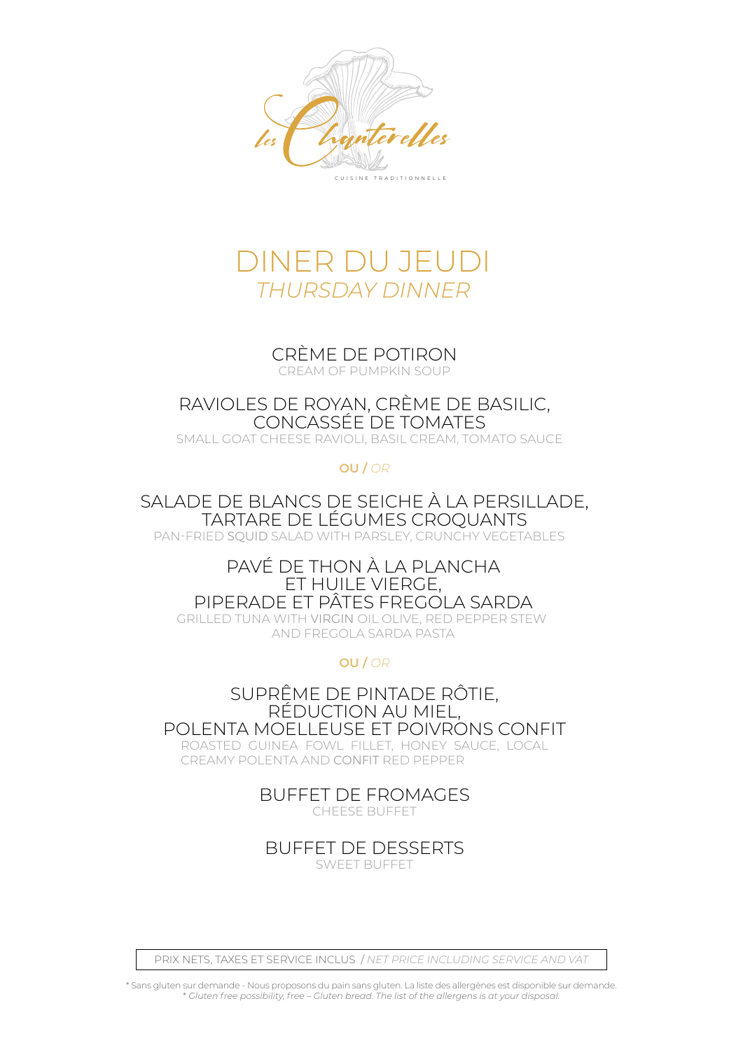



### CRÈME DE POTIRON

CREAM OF PUMPKIN SOUP

RAVIOLES DE ROYAN, CRÈME DE BASILIC, CONCASSÉE DE TOMATES

SMALL GOAT CHEESE RAVIOLI, BASIL CREAM, TOMATO SAUCE

**OU /** *OR*

SALADE DE BLANCS DE SEICHE À LA PERSILLADE, TARTARE DE LÉGUMES CROQUANTS

PAN-FRIED SQUID SALAD WITH PARSLEY, CRUNCHY VEGETABLES

#### PAVÉ DE THON À LA PLANCHA ET HUILE VIERGE, PIPERADE ET PÂTES FREGOLA SARDA

GRILLED TUNA WITH VIRGIN OIL OLIVE, RED PEPPER STEW AND FREGOLA SARDA PASTA

**OU /** *OR*

 SUPRÊME DE PINTADE RÔTIE, RÉDUCTION AU MIEL, POLENTA MOELLEUSE ET POIVRONS CONFIT ROASTED GUINEA FOWL FILLET, HONEY SAUCE, LOCAL

CREAMY POLENTA AND CONFIT RED PEPPER

BUFFET DE FROMAGES

CHEESE BUFFET

BUFFET DE DESSERTS

SWEET BUFFET

PRIX NETS, TAXES ET SERVICE INCLUS / *NET PRICE INCLUDING SERVICE AND VAT*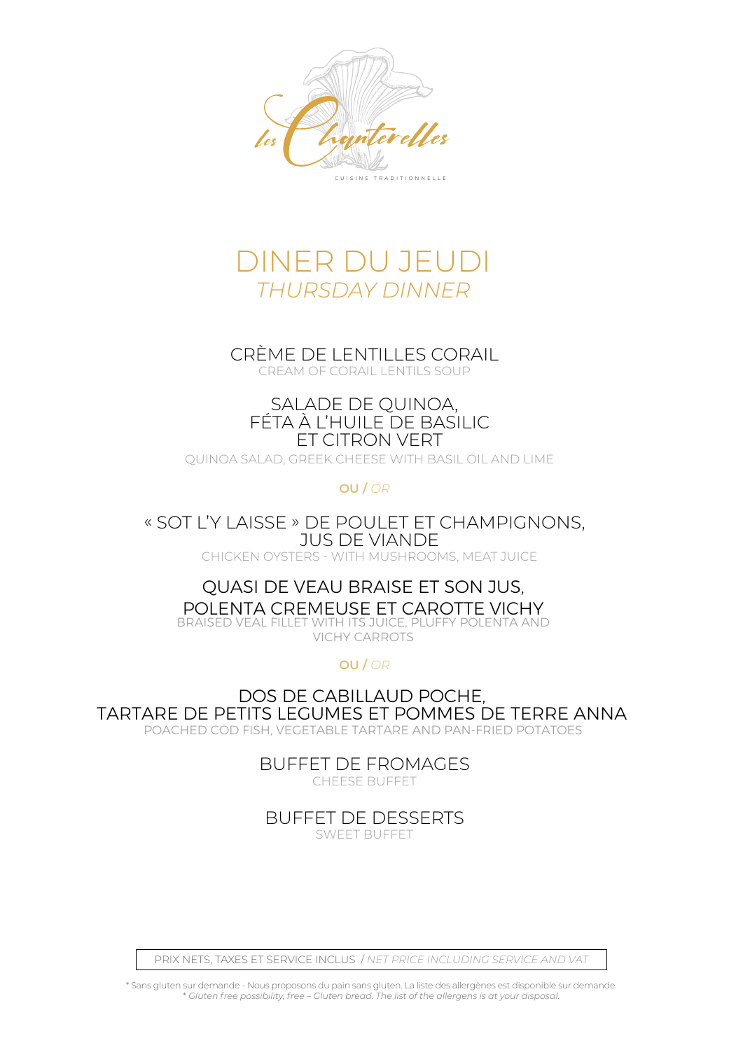



### CRÈME DE LENTILLES CORAIL

CREAM OF CORAIL LENTILS SOUP

#### SALADE DE QUINOA, FÉTA À L'HUILE DE BASILIC ET CITRON VERT

QUINOA SALAD, GREEK CHEESE WITH BASIL OIL AND LIME

**OU /** *OR*

« SOT L'Y LAISSE » DE POULET ET CHAMPIGNONS, JUS DE VIANDE

CHICKEN OYSTERS - WITH MUSHROOMS, MEAT JUICE

#### QUASI DE VEAU BRAISE ET SON JUS, POLENTA CREMEUSE ET CAROTTE VICHY BRAISED VEAL FILLET WITH ITS JUICE, PLUFFY POLENTA AND

VICHY CARROTS

**OU /** *OR*

DOS DE CABILLAUD POCHE, TARTARE DE PETITS LEGUMES ET POMMES DE TERRE ANNA POACHED COD FISH, VEGETABLE TARTARE AND PAN-FRIED POTATOES

> BUFFET DE FROMAGES CHEESE BUFFET

BUFFET DE DESSERTS

SWEET BUFFET

PRIX NETS, TAXES ET SERVICE INCLUS / *NET PRICE INCLUDING SERVICE AND VAT*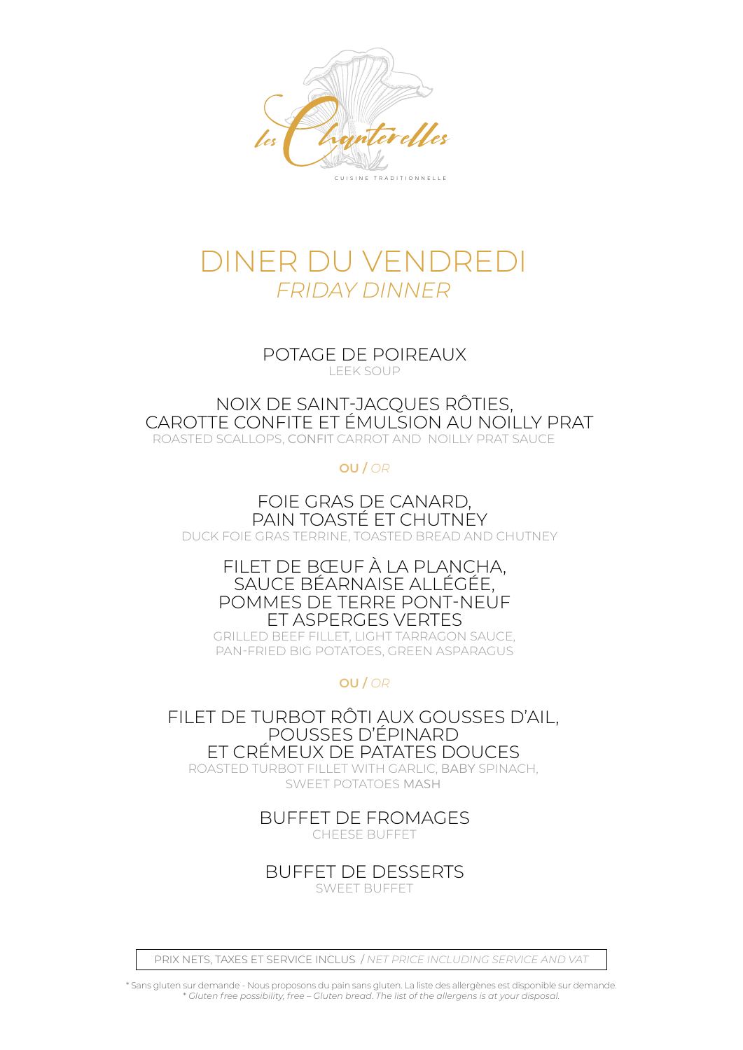

## DINER DU VENDREDI *FRIDAY DINNER*

POTAGE DE POIREAUX LEEK SOUP

NOIX DE SAINT-JACQUES RÔTIES, CAROTTE CONFITE ET ÉMULSION AU NOILLY PRAT ROASTED SCALLOPS, CONFIT CARROT AND NOILLY PRAT SAUCE

**OU /** *OR*

FOIE GRAS DE CANARD, PAIN TOASTÉ ET CHUTNEY DUCK FOIE GRAS TERRINE, TOASTED BREAD AND CHUTNEY

> FILET DE BŒUF À LA PLANCHA, SAUCE BÉARNAISE ALLÉGÉE, POMMES DE TERRE PONT-NEUF ET ASPERGES VERTES

GRILLED BEEF FILLET, LIGHT TARRAGON SAUCE, PAN-FRIED BIG POTATOES, GREEN ASPARAGUS

**OU /** *OR*

FILET DE TURBOT RÔTI AUX GOUSSES D'AIL, POUSSES D'ÉPINARD ET CRÉMEUX DE PATATES DOUCES

ROASTED TURBOT FILLET WITH GARLIC, BABY SPINACH, SWEET POTATOES MASH

BUFFET DE FROMAGES

CHEESE BUFFET

BUFFET DE DESSERTS

SWEET BUFFET

PRIX NETS, TAXES ET SERVICE INCLUS / *NET PRICE INCLUDING SERVICE AND VAT*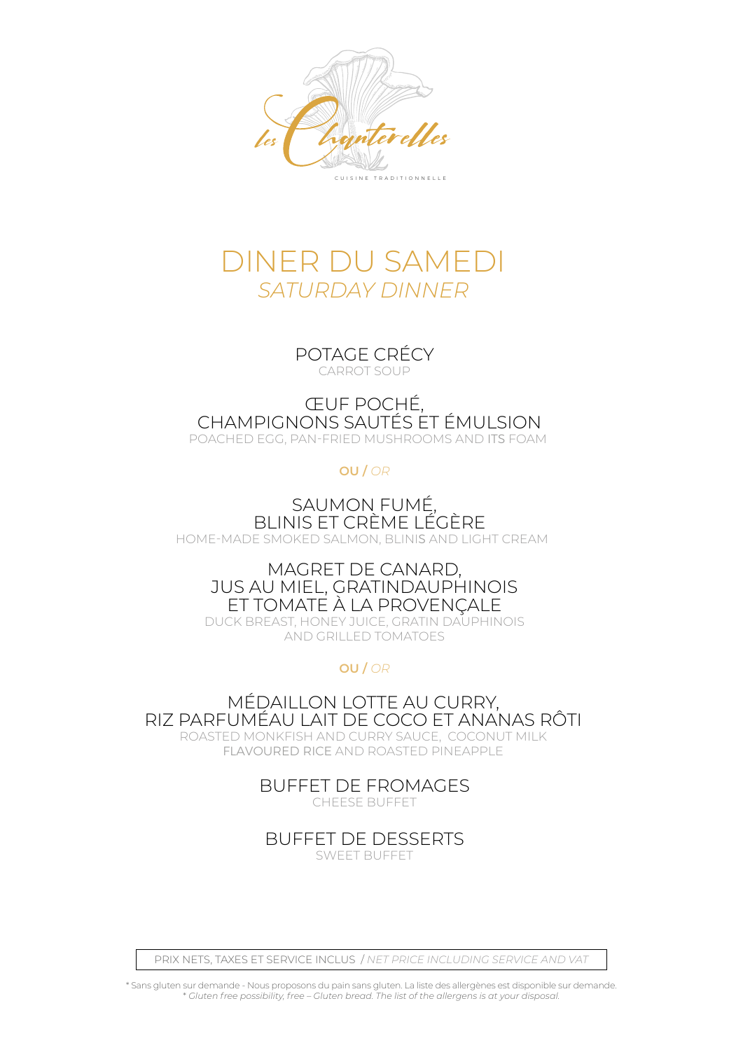

## DINER DU SAMEDI *SATURDAY DINNER*

POTAGE CRÉCY CARROT SOUP

#### ŒUF POCHÉ, CHAMPIGNONS SAUTÉS ET ÉMULSION POACHED EGG, PAN-FRIED MUSHROOMS AND ITS FOAM

#### **OU /** *OR*

SAUMON FUMÉ, BLINIS ET CRÈME LÉGÈRE HOME-MADE SMOKED SALMON, BLINIS AND LIGHT CREAM

### MAGRET DE CANARD, JUS AU MIEL, GRATINDAUPHINOIS ET TOMATE À LA PROVENÇALE

DUCK BREAST, HONEY JUICE, GRATIN DAUPHINOIS AND GRILLED TOMATOES

### **OU /** *OR*

MÉDAILLON LOTTE AU CURRY, RIZ PARFUMÉAU LAIT DE COCO ET ANANAS RÔTI ROASTED MONKFISH AND CURRY SAUCE, COCONUT MILK FLAVOURED RICE AND ROASTED PINEAPPLE

BUFFET DE FROMAGES

CHEESE BUFFET

BUFFET DE DESSERTS

SWEET BUFFET

PRIX NETS, TAXES ET SERVICE INCLUS / *NET PRICE INCLUDING SERVICE AND VAT*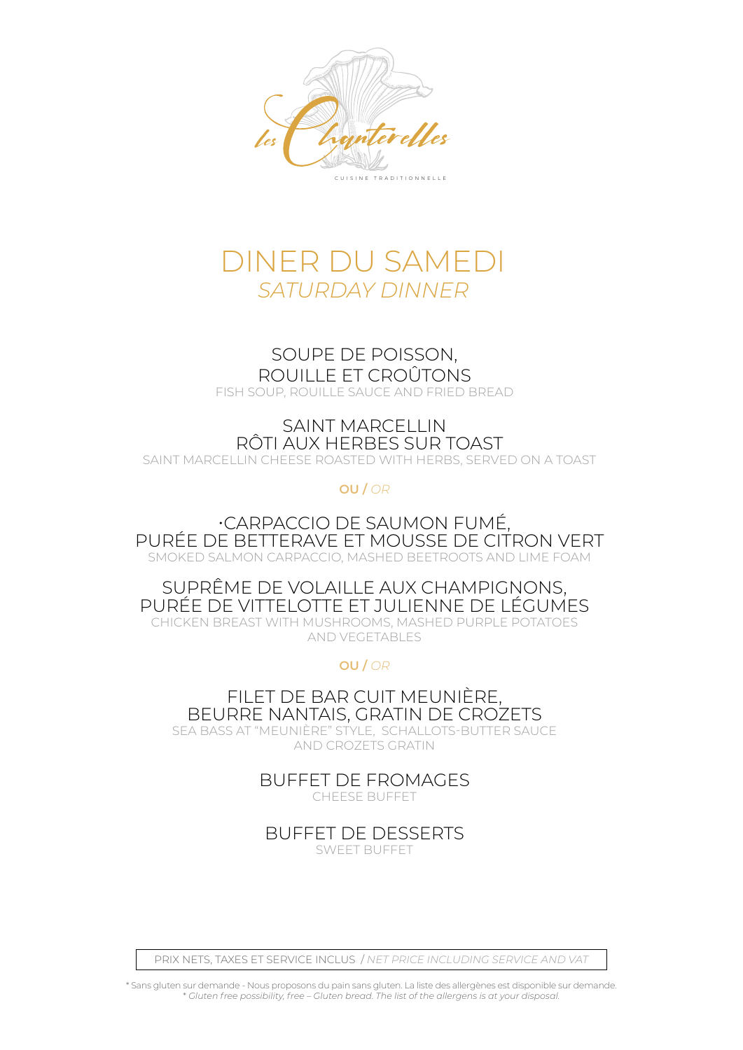

## DINER DU SAMEDI *SATURDAY DINNER*

#### SOUPE DE POISSON, ROUILLE ET CROÛTONS

FISH SOUP, ROUILLE SAUCE AND FRIED BREAD.

### SAINT MARCELLIN RÔTI AUX HERBES SUR TOAST

SAINT MARCELLIN CHEESE ROASTED WITH HERBS, SERVED ON A TOAST

**OU /** *OR*

#### •CARPACCIO DE SAUMON FUMÉ, PURÉE DE BETTERAVE ET MOUSSE DE CITRON VERT SMOKED SALMON CARPACCIO, MASHED BEETROOTS AND LIME FOAM

#### SUPRÊME DE VOLAILLE AUX CHAMPIGNONS, PURÉE DE VITTELOTTE ET JULIENNE DE LÉGUMES CHICKEN BREAST WITH MUSHROOMS, MASHED PURPLE POTATOES

AND VEGETABLES

**OU /** *OR*

FILET DE BAR CUIT MEUNIÈRE, BEURRE NANTAIS, GRATIN DE CROZETS SEA BASS AT "MEUNIÈRE" STYLE, SCHALLOTS-BUTTER SAUCE

AND CROZETS GRATIN

BUFFET DE FROMAGES

CHEESE BUFFET

BUFFET DE DESSERTS

SWEET BUFFET

PRIX NETS, TAXES ET SERVICE INCLUS / *NET PRICE INCLUDING SERVICE AND VAT*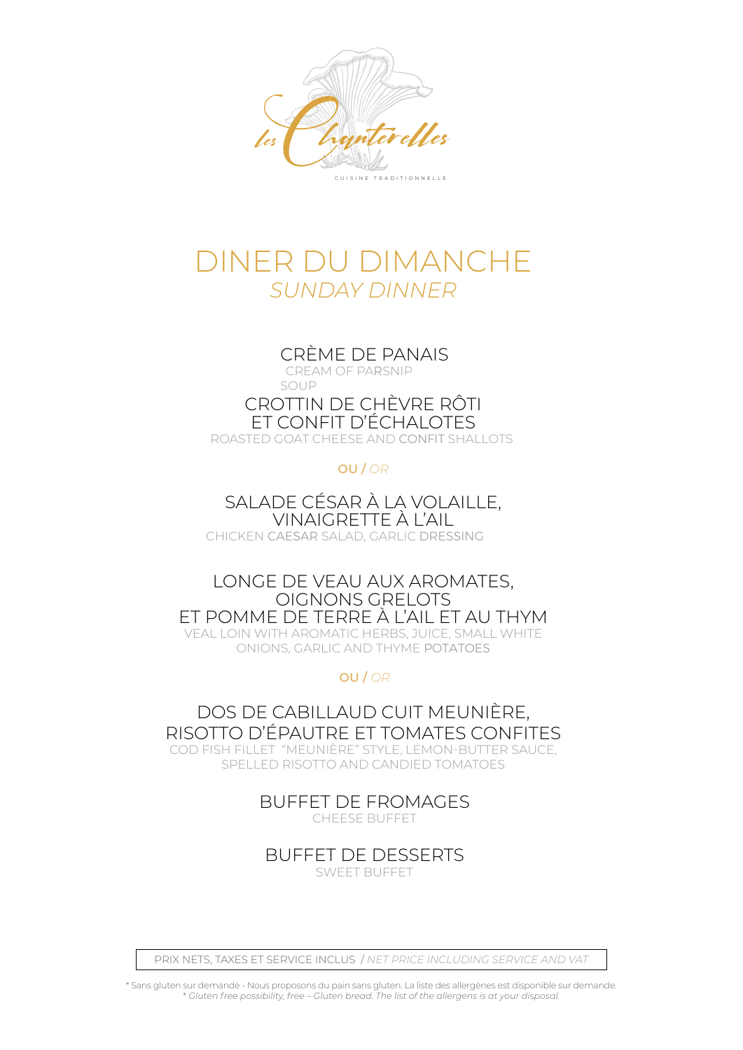

## DINER DU DIMANCHE *SUNDAY DINNER*

### CRÈME DE PANAIS

CREAM OF PARSNIP

SOUP

### CROTTIN DE CHÈVRE RÔTI ET CONFIT D'ÉCHALOTES

ROASTED GOAT CHEESE AND CONFIT SHALLOTS

### **OU /** *OR*

SALADE CÉSAR À LA VOLAILLE, VINAIGRETTE À L'AIL

CHICKEN CAESAR SALAD, GARLIC DRESSING

LONGE DE VEAU AUX AROMATES, OIGNONS GRELOTS ET POMME DE TERRE À L'AIL ET AU THYM VEAL LOIN WITH AROMATIC HERBS, JUICE, SMALL WHITE ONIONS, GARLIC AND THYME POTATOES

### **OU /** *OR*

DOS DE CABILLAUD CUIT MEUNIÈRE, RISOTTO D'ÉPAUTRE ET TOMATES CONFITES COD FISH FILLET "MEUNIÈRE" STYLE, LEMON-BUTTER SAUCE, SPELLED RISOTTO AND CANDIED TOMATOES

BUFFET DE FROMAGES

CHEESE BUFFET

BUFFET DE DESSERTS SWEET BUFFET

PRIX NETS, TAXES ET SERVICE INCLUS / *NET PRICE INCLUDING SERVICE AND VAT*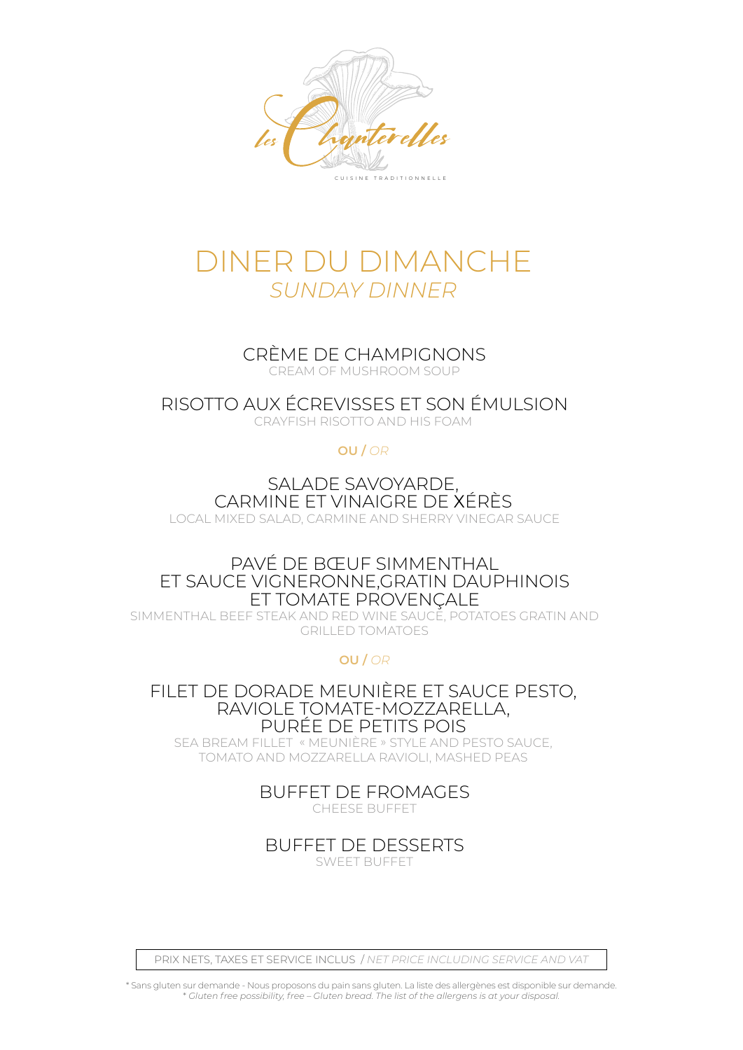

## DINER DU DIMANCHE *SUNDAY DINNER*

CRÈME DE CHAMPIGNONS

CREAM OF MUSHROOM SOUP

RISOTTO AUX ÉCREVISSES ET SON ÉMULSION CRAYFISH RISOTTO AND HIS FOAM

#### **OU /** *OR*

SALADE SAVOYARDE, CARMINE ET VINAIGRE DE XÉRÈS LOCAL MIXED SALAD, CARMINE AND SHERRY VINEGAR SAUCE

#### PAVÉ DE BŒUF SIMMENTHAL ET SAUCE VIGNERONNE,GRATIN DAUPHINOIS ET TOMATE PROVENÇALE

SIMMENTHAL BEEF STEAK AND RED WINE SAUCE, POTATOES GRATIN AND GRILLED TOMATOES

**OU /** *OR*

#### FILET DE DORADE MEUNIÈRE ET SAUCE PESTO, RAVIOLE TOMATE-MOZZARELLA, PURÉE DE PETITS POIS

SEA BREAM FILLET « MEUNIÈRE » STYLE AND PESTO SAUCE, TOMATO AND MOZZARELLA RAVIOLI, MASHED PEAS

BUFFET DE FROMAGES

CHEESE BUFFET

BUFFET DE DESSERTS

SWEET BUFFET

PRIX NETS, TAXES ET SERVICE INCLUS / *NET PRICE INCLUDING SERVICE AND VAT*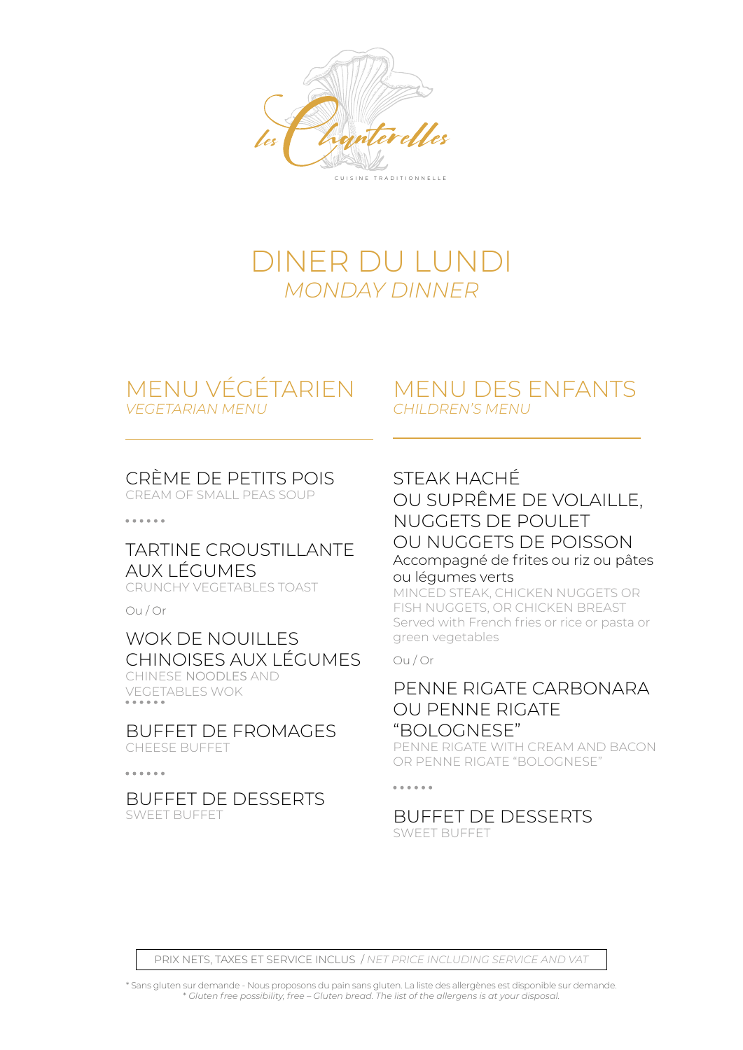

## DINER DU LUNDI *MONDAY DINNER*

### MENU VÉGÉTARIEN *VEGETARIAN MENU*

### MENU DES ENFANTS *CHILDREN'S MENU*

### CRÈME DE PETITS POIS

CREAM OF SMALL PEAS SOUP

. . . . . .

### TARTINE CROUSTILLANTE AUX LÉGUMES

CRUNCHY VEGETABLES TOAST

Ou / Or

### WOK DE NOUILLES CHINOISES AUX LÉGUMES

CHINESE NOODLES AND VEGETABLES WOK

BUFFET DE FROMAGES CHEESE BUFFET

. . . . . .

BUFFET DE DESSERTS SWEET BUFFET

### STEAK HACHÉ

OU SUPRÊME DE VOLAILLE, NUGGETS DE POULET OU NUGGETS DE POISSON Accompagné de frites ou riz ou pâtes ou légumes verts

MINCED STEAK, CHICKEN NUGGETS OR FISH NUGGETS, OR CHICKEN BREAST Served with French fries or rice or pasta or green vegetables

Ou / Or

### PENNE RIGATE CARBONARA OU PENNE RIGATE "BOLOGNESE"

PENNE RIGATE WITH CREAM AND BACON OR PENNE RIGATE "BOLOGNESE"

. . . . . .

BUFFET DE DESSERTS SWEET BUFFET

PRIX NETS, TAXES ET SERVICE INCLUS / *NET PRICE INCLUDING SERVICE AND VAT*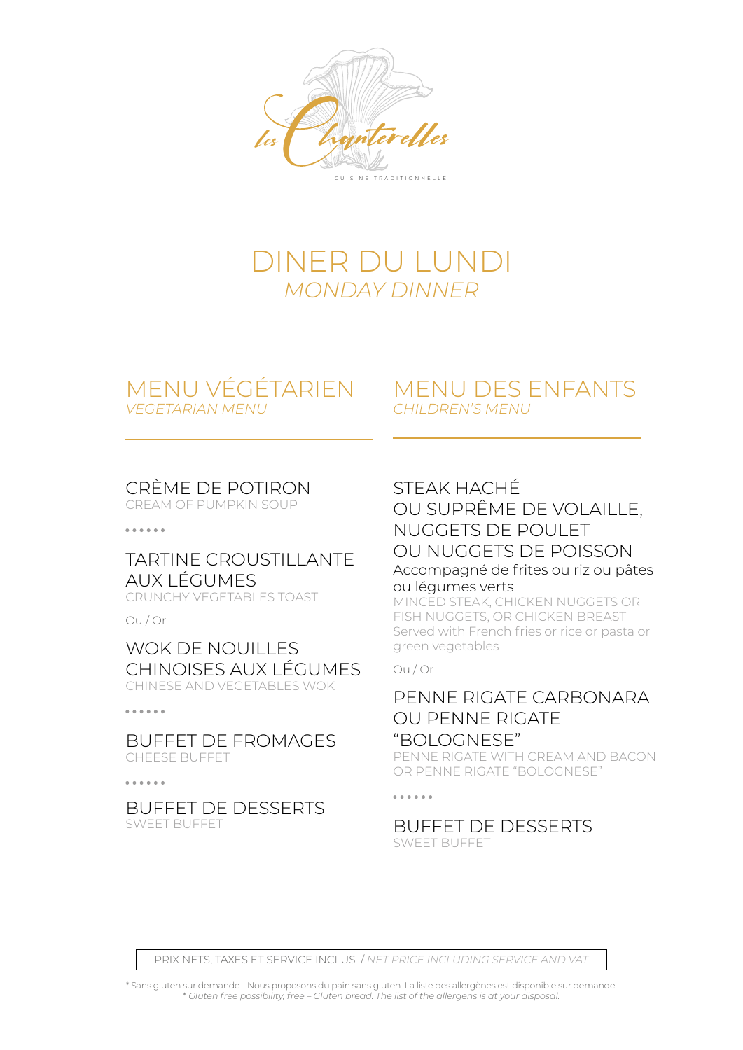

## DINER DU LUNDI *MONDAY DINNER*

### MENU VÉGÉTARIEN *VEGETARIAN MENU*

### MENU DES ENFANTS *CHILDREN'S MENU*

### CRÈME DE POTIRON

CREAM OF PUMPKIN SOUP

. . . . . .

#### TARTINE CROUSTILLANTE AUX LÉGUMES CRUNCHY VEGETABLES TOAST

Ou / Or

#### WOK DE NOUILLES CHINOISES AUX LÉGUMES CHINESE AND VEGETABLES WOK

#### . . . . . .

BUFFET DE FROMAGES CHEESE BUFFET

 $\cdots$ 

#### BUFFET DE DESSERTS SWEET BUFFET

### STEAK HACHÉ OU SUPRÊME DE VOLAILLE, NUGGETS DE POULET OU NUGGETS DE POISSON Accompagné de frites ou riz ou pâtes ou légumes verts

MINCED STEAK, CHICKEN NUGGETS OR FISH NUGGETS, OR CHICKEN BREAST Served with French fries or rice or pasta or green vegetables

#### Ou / Or

### PENNE RIGATE CARBONARA OU PENNE RIGATE "BOLOGNESE"

PENNE RIGATE WITH CREAM AND BACON OR PENNE RIGATE "BOLOGNESE"

. . . . . .

## BUFFET DE DESSERTS

SWEET BUFFET

PRIX NETS, TAXES ET SERVICE INCLUS / *NET PRICE INCLUDING SERVICE AND VAT*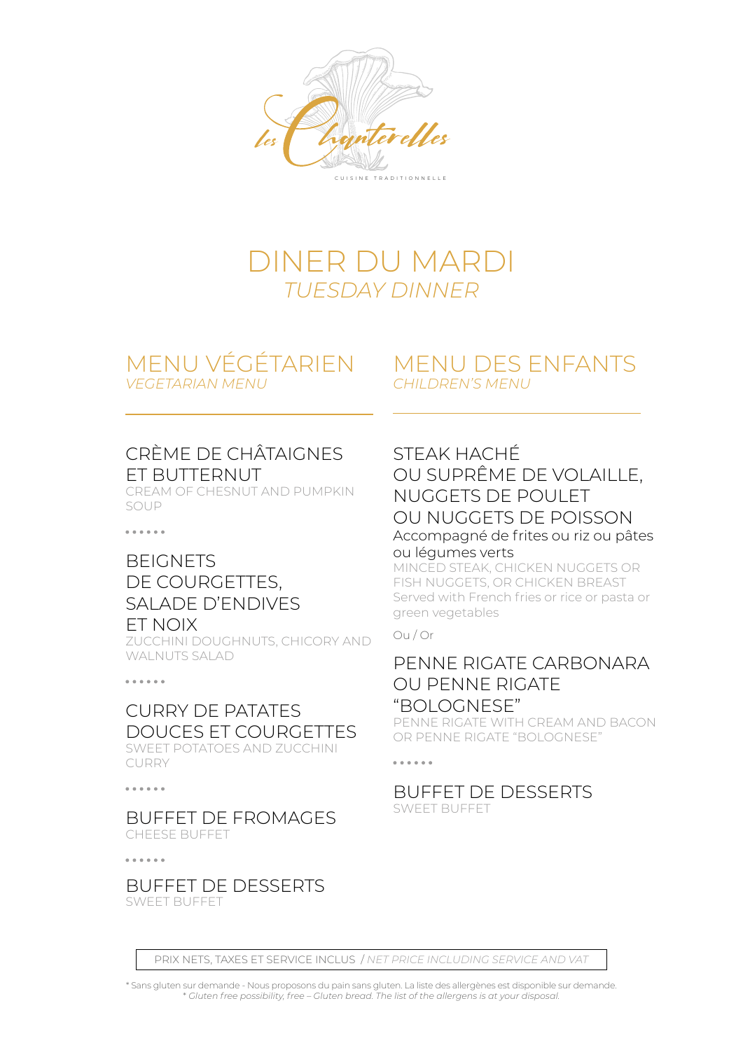

## DINER DU MARDI *TUESDAY DINNER*

## MENU VÉGÉTARIEN

*VEGETARIAN MENU*

### MENU DES ENFANTS *CHILDREN'S MENU*

### CRÈME DE CHÂTAIGNES ET BUTTERNUT

CREAM OF CHESNUT AND PUMPKIN SOUP

. . . . . .

### BEIGNETS DE COURGETTES, SALADE D'ENDIVES

#### ET NOIX

ZUCCHINI DOUGHNUTS, CHICORY AND WAI NUTS SALAD

 $\frac{1}{2}$ 

### CURRY DE PATATES DOUCES ET COURGETTES

SWEET POTATOES AND ZUCCHINI CURRY

. . . . . .

#### BUFFET DE FROMAGES CHEESE BUFFET

 $\frac{1}{2}$ 

BUFFET DE DESSERTS SWEET BUFFET

### STEAK HACHÉ OU SUPRÊME DE VOLAILLE, NUGGETS DE POULET OU NUGGETS DE POISSON Accompagné de frites ou riz ou pâtes ou légumes verts

MINCED STEAK, CHICKEN NUGGETS OR FISH NUGGETS, OR CHICKEN BREAST Served with French fries or rice or pasta or green vegetables

#### Ou / Or

. . . . . .

### PENNE RIGATE CARBONARA OU PENNE RIGATE "BOLOGNESE"

PENNE RIGATE WITH CREAM AND BACON OR PENNE RIGATE "BOLOGNESE"

#### BUFFET DE DESSERTS SWEET BUFFET

PRIX NETS, TAXES ET SERVICE INCLUS / *NET PRICE INCLUDING SERVICE AND VAT*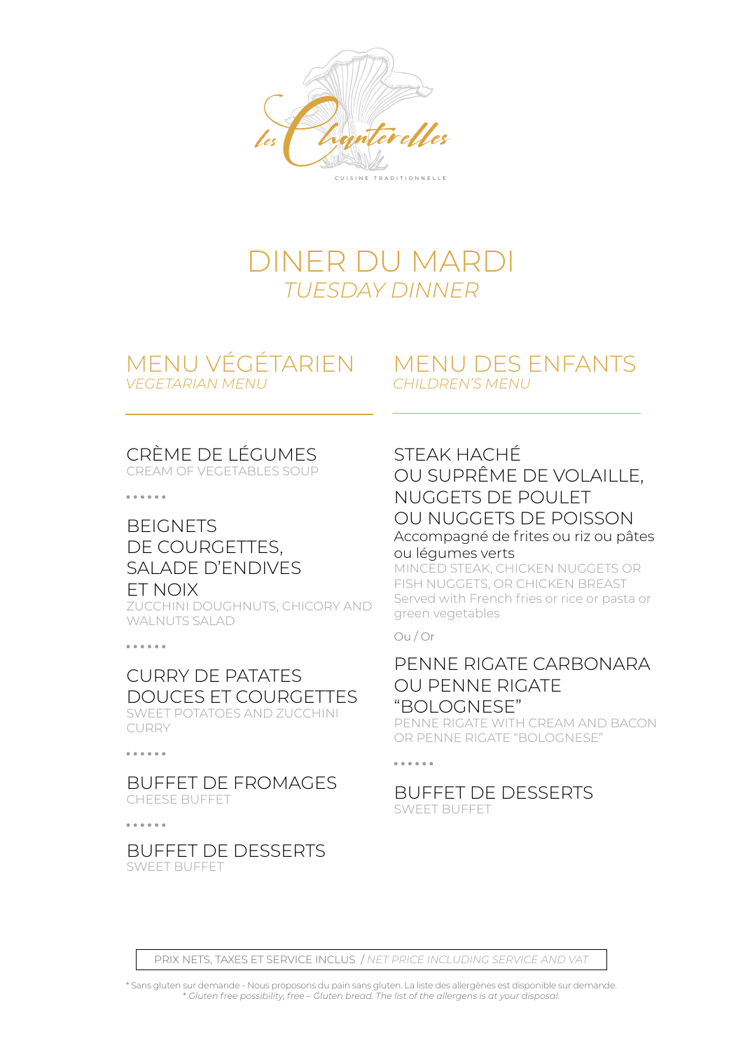

## DINER DU MARDI *TUESDAY DINNER*

### MENU VÉGÉTARIEN *VEGETARIAN MENU*

### MENU DES ENFANTS *CHILDREN'S MENU*

### CRÈME DE LÉGUMES

CREAM OF VEGETABLES SOUP

. . . . . .

### **BEIGNETS** DE COURGETTES, SALADE D'ENDIVES ET NOIX

ZUCCHINI DOUGHNUTS, CHICORY AND WALNUTS SALAD

. . . . . .

#### CURRY DE PATATES DOUCES ET COURGETTES SWEET POTATOES AND ZUCCHINI

CURRY

. . . . . .

#### BUFFET DE FROMAGES CHEESE BUFFET

. . . . . .

#### BUFFET DE DESSERTS SWEET BUFFET

### STEAK HACHÉ

#### OU SUPRÊME DE VOLAILLE, NUGGETS DE POULET OU NUGGETS DE POISSON Accompagné de frites ou riz ou pâtes ou légumes verts

MINCED STEAK, CHICKEN NUGGETS OR FISH NUGGETS, OR CHICKEN BREAST Served with French fries or rice or pasta or green vegetables

Ou / Or

### PENNE RIGATE CARBONARA OU PENNE RIGATE "BOLOGNESE"

PENNE RIGATE WITH CREAM AND BACON OR PENNE RIGATE "BOLOGNESE"

. . . . . .

#### BUFFET DE DESSERTS SWEET BUFFET

PRIX NETS, TAXES ET SERVICE INCLUS / *NET PRICE INCLUDING SERVICE AND VAT*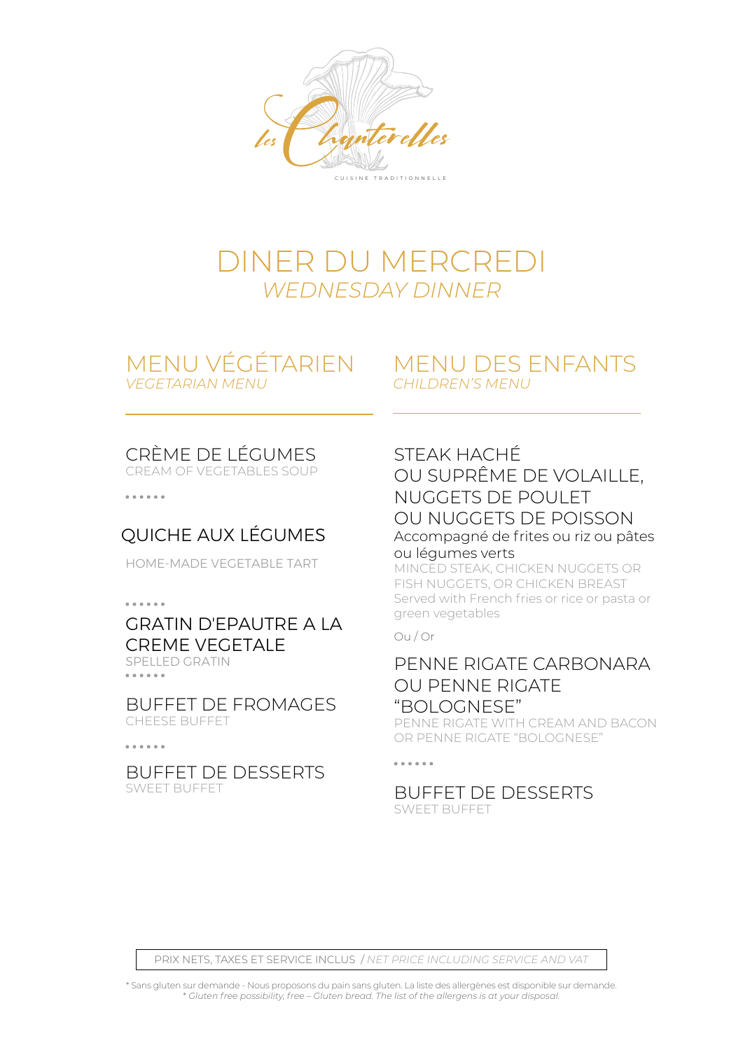

## DINER DU MERCREDI *WEDNESDAY DINNER*

### MENU VÉGÉTARIEN *VEGETARIAN MENU*

### MENU DES ENFANTS *CHILDREN'S MENU*

### CRÈME DE LÉGUMES

CREAM OF VEGETABLES SOUP

 $\frac{1}{2}$ 

### QUICHE AUX LÉGUMES

HOME-MADE VEGETABLE TART

 $\frac{1}{2}$ 

### GRATIN D'EPAUTRE A LA CREME VEGETALE

SPELLED GRATIN

BUFFET DE FROMAGES CHEESE BUFFET

. . . . . .

#### BUFFET DE DESSERTS SWEET BUFFET

### STEAK HACHÉ

OU SUPRÊME DE VOLAILLE, NUGGETS DE POULET OU NUGGETS DE POISSON Accompagné de frites ou riz ou pâtes ou légumes verts

MINCED STEAK, CHICKEN NUGGETS OR FISH NUGGETS, OR CHICKEN BREAST Served with French fries or rice or pasta or green vegetables

#### Ou / Or

### PENNE RIGATE CARBONARA OU PENNE RIGATE "BOLOGNESE"

PENNE RIGATE WITH CREAM AND BACON OR PENNE RIGATE "BOLOGNESE"

#### . . . . . .

#### BUFFET DE DESSERTS SWEET BUFFET

PRIX NETS, TAXES ET SERVICE INCLUS / *NET PRICE INCLUDING SERVICE AND VAT*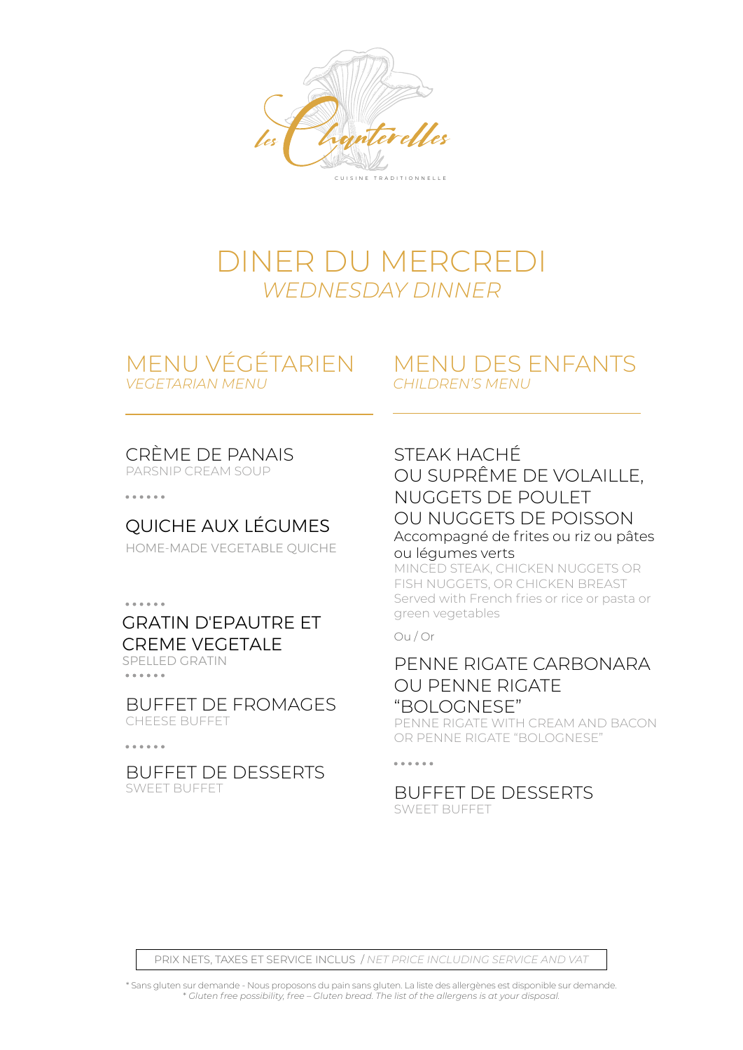

## DINER DU MERCREDI *WEDNESDAY DINNER*

# *VEGETARIAN MENU*

### MENU VÉGÉTARIEN MENU DES ENFANTS *CHILDREN'S MENU*

### CRÈME DE PANAIS

PARSNIP CREAM SOUP

. . . . . .

### QUICHE AUX LÉGUMES

HOME-MADE VEGETABLE QUICHE

 $\frac{1}{2}$ 

### GRATIN D'EPAUTRE ET CREME VEGETALE

SPELLED GRATIN . . . . . .

BUFFET DE FROMAGES CHEESE BUFFET

. . . . . .

BUFFET DE DESSERTS SWEET BUFFET

### STEAK HACHÉ

#### OU SUPRÊME DE VOLAILLE, NUGGETS DE POULET OU NUGGETS DE POISSON Accompagné de frites ou riz ou pâtes ou légumes verts

MINCED STEAK, CHICKEN NUGGETS OR FISH NUGGETS, OR CHICKEN BREAST Served with French fries or rice or pasta or green vegetables

#### Ou / Or

### PENNE RIGATE CARBONARA OU PENNE RIGATE "BOLOGNESE"

PENNE RIGATE WITH CREAM AND BACON OR PENNE RIGATE "BOLOGNESE"

#### . . . . . .

#### BUFFET DE DESSERTS SWEET BUFFET

PRIX NETS, TAXES ET SERVICE INCLUS / *NET PRICE INCLUDING SERVICE AND VAT*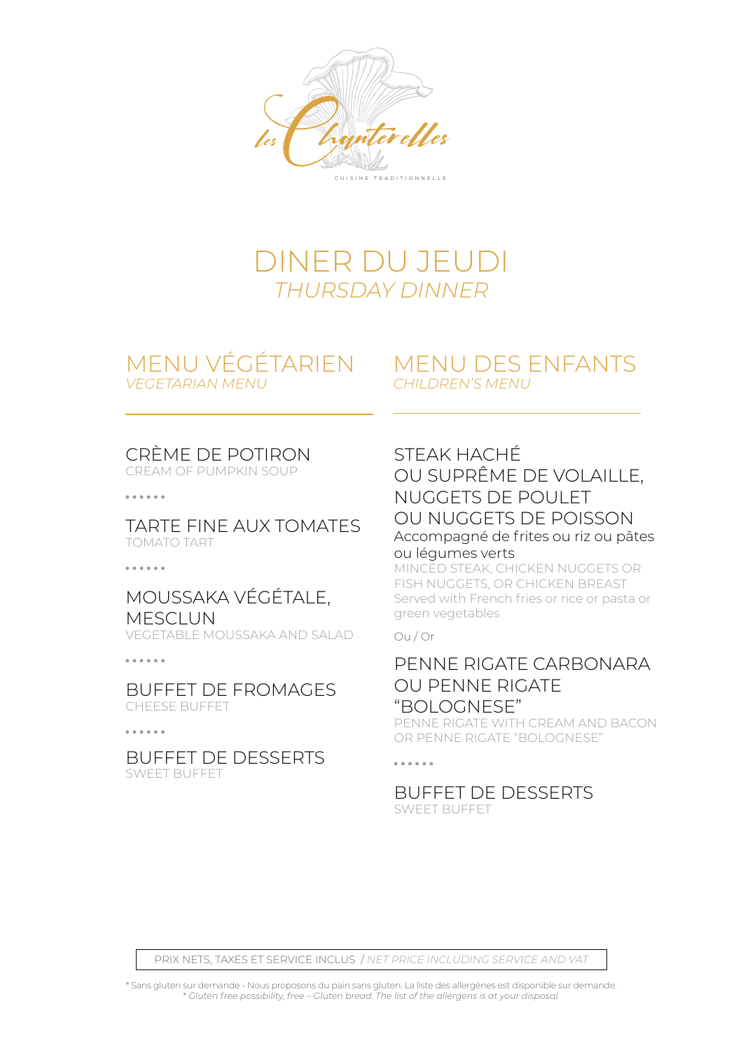



# *VEGETARIAN MENU*

### MENU VÉGÉTARIEN MENU DES ENFANTS *CHILDREN'S MENU*

### CRÈME DE POTIRON

CREAM OF PUMPKIN SOUP

 $\frac{1}{2}$ 

TARTE FINE AUX TOMATES TOMATO TART

. . . . . .

### MOUSSAKA VÉGÉTALE, **MESCLUN**

VEGETABLE MOUSSAKA AND SALAD

BUFFET DE FROMAGES CHEESE BUFFET

BUFFET DE DESSERTS SWEET BUFFET

### STEAK HACHÉ

OU SUPRÊME DE VOLAILLE, NUGGETS DE POULET OU NUGGETS DE POISSON Accompagné de frites ou riz ou pâtes ou légumes verts

MINCED STEAK, CHICKEN NUGGETS OR FISH NUGGETS, OR CHICKEN BREAST Served with French fries or rice or pasta or green vegetables

Ou / Or

### PENNE RIGATE CARBONARA OU PENNE RIGATE "BOLOGNESE"

PENNE RIGATE WITH CREAM AND BACON OR PENNE RIGATE "BOLOGNESE"

. . . . . .

#### BUFFET DE DESSERTS SWEET BUFFET

PRIX NETS, TAXES ET SERVICE INCLUS / *NET PRICE INCLUDING SERVICE AND VAT*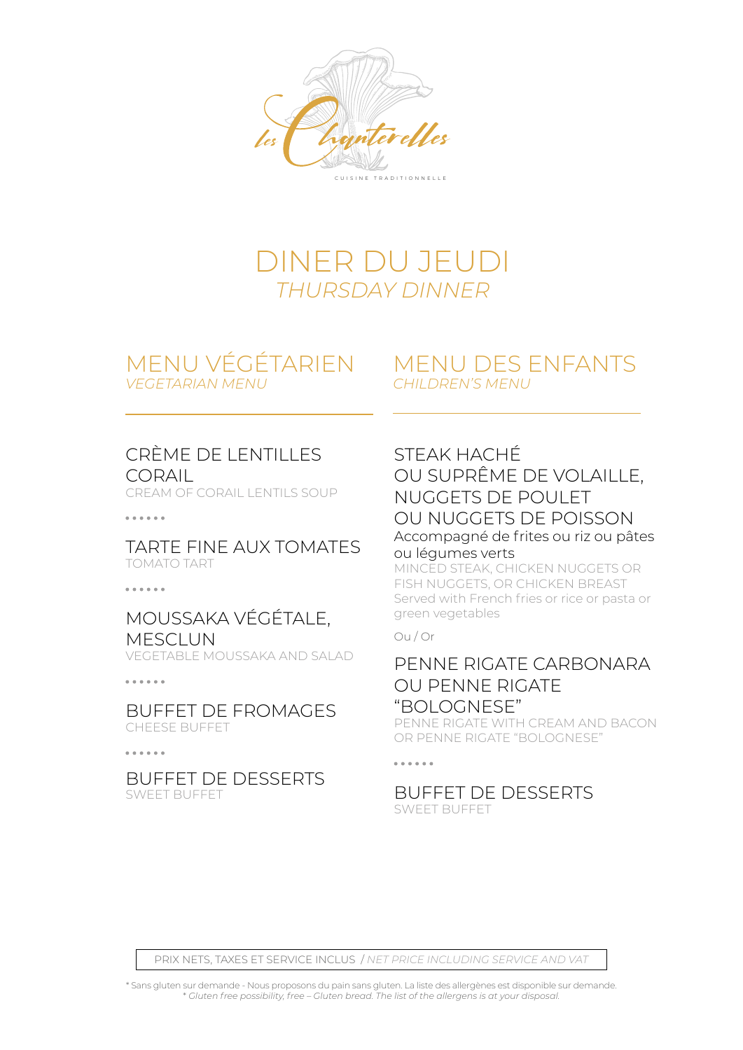

## DINER DU JEUDI *THURSDAY DINNER*

### MENU VÉGÉTARIEN *VEGETARIAN MENU*

### MENU DES ENFANTS *CHILDREN'S MENU*

### CRÈME DE LENTILLES **CORAIL**

CREAM OF CORAIL LENTILS SOUP

#### TARTE FINE AUX TOMATES TOMATO TART

. . . . . .

### MOUSSAKA VÉGÉTALE, MESCLUN

VEGETABLE MOUSSAKA AND SALAD

 $\frac{1}{2}$ 

#### BUFFET DE FROMAGES CHEESE BUFFET

 $\frac{1}{2}$ 

BUFFET DE DESSERTS SWEET BUFFET

### STEAK HACHÉ

#### OU SUPRÊME DE VOLAILLE, NUGGETS DE POULET OU NUGGETS DE POISSON Accompagné de frites ou riz ou pâtes ou légumes verts

MINCED STEAK, CHICKEN NUGGETS OR FISH NUGGETS, OR CHICKEN BREAST Served with French fries or rice or pasta or green vegetables

#### Ou / Or

### PENNE RIGATE CARBONARA OU PENNE RIGATE "BOLOGNESE"

PENNE RIGATE WITH CREAM AND BACON OR PENNE RIGATE "BOLOGNESE"

#### . . . . . .

#### BUFFET DE DESSERTS SWEET BUFFET

PRIX NETS, TAXES ET SERVICE INCLUS / *NET PRICE INCLUDING SERVICE AND VAT*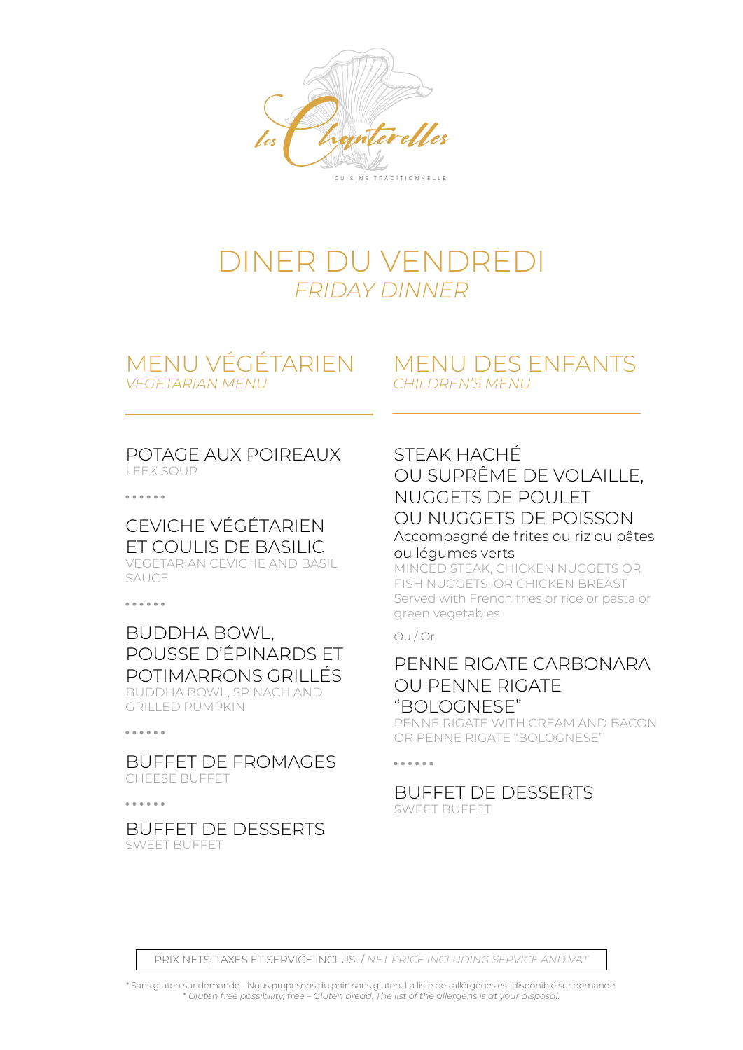

## DINER DU VENDREDI *FRIDAY DINNER*

### MENU VÉGÉTARIEN *VEGETARIAN MENU*

### MENU DES ENFANTS *CHILDREN'S MENU*

#### POTAGE AUX POIREAUX LEEK SOUP

. . . . . .

#### CEVICHE VÉGÉTARIEN ET COULIS DE BASILIC VEGETARIAN CEVICHE AND BASIL SAUCE

. . . . . .

#### BUDDHA BOWL, POUSSE D'ÉPINARDS ET POTIMARRONS GRILLÉS BUDDHA BOWL, SPINACH AND GRILLED PUMPKIN

. . . . . .

BUFFET DE FROMAGES CHEESE BUFFET

. . . . . .

#### BUFFET DE DESSERTS SWEET BUFFET

### STEAK HACHÉ OU SUPRÊME DE VOLAILLE, NUGGETS DE POULET OU NUGGETS DE POISSON Accompagné de frites ou riz ou pâtes

ou légumes verts

MINCED STEAK, CHICKEN NUGGETS OR FISH NUGGETS, OR CHICKEN BREAST Served with French fries or rice or pasta or green vegetables

#### Ou / Or

### PENNE RIGATE CARBONARA OU PENNE RIGATE "BOLOGNESE"

PENNE RIGATE WITH CREAM AND BACON OR PENNE RIGATE "BOLOGNESE"

#### . . . . . .

#### BUFFET DE DESSERTS SWEET BUFFET

PRIX NETS, TAXES ET SERVICE INCLUS / *NET PRICE INCLUDING SERVICE AND VAT*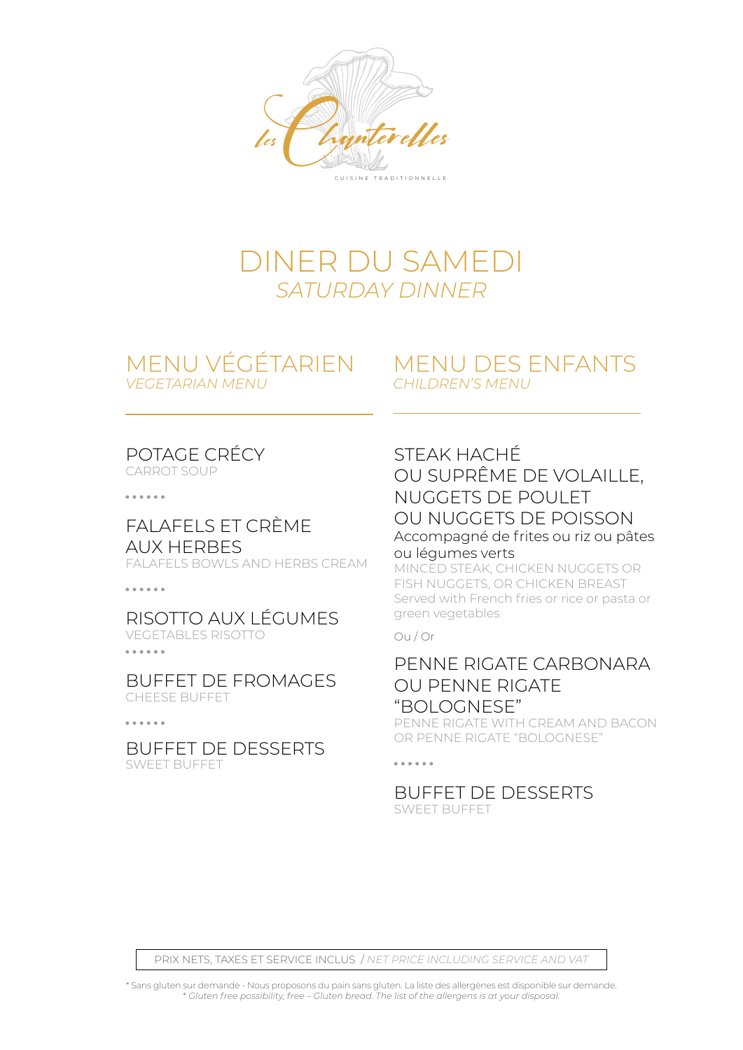

## DINER DU SAMEDI *SATURDAY DINNER*

# *VEGETARIAN MENU*

### MENU VÉGÉTARIEN MENU DES ENFANTS *CHILDREN'S MENU*

## POTAGE CRÉCY

CARROT SOUP

 $\frac{1}{2}$ 

### FALAFELS ET CRÈME AUX HERBES

FALAFELS BOWLS AND HERBS CREAM

. . . . . .

#### RISOTTO AUX LÉGUMES VEGETABLES RISOTTO . . . . . .

BUFFET DE FROMAGES CHEESE BUFFET

 $\frac{1}{2}$ 

BUFFET DE DESSERTS SWEET BUFFET

### STEAK HACHÉ

#### OU SUPRÊME DE VOLAILLE, NUGGETS DE POULET OU NUGGETS DE POISSON Accompagné de frites ou riz ou pâtes ou légumes verts

MINCED STEAK, CHICKEN NUGGETS OR FISH NUGGETS, OR CHICKEN BREAST Served with French fries or rice or pasta or green vegetables

#### Ou / Or

### PENNE RIGATE CARBONARA OU PENNE RIGATE "BOLOGNESE"

PENNE RIGATE WITH CREAM AND BACON OR PENNE RIGATE "BOLOGNESE"

#### . . . . . .

#### BUFFET DE DESSERTS SWEET BUFFET

PRIX NETS, TAXES ET SERVICE INCLUS / *NET PRICE INCLUDING SERVICE AND VAT*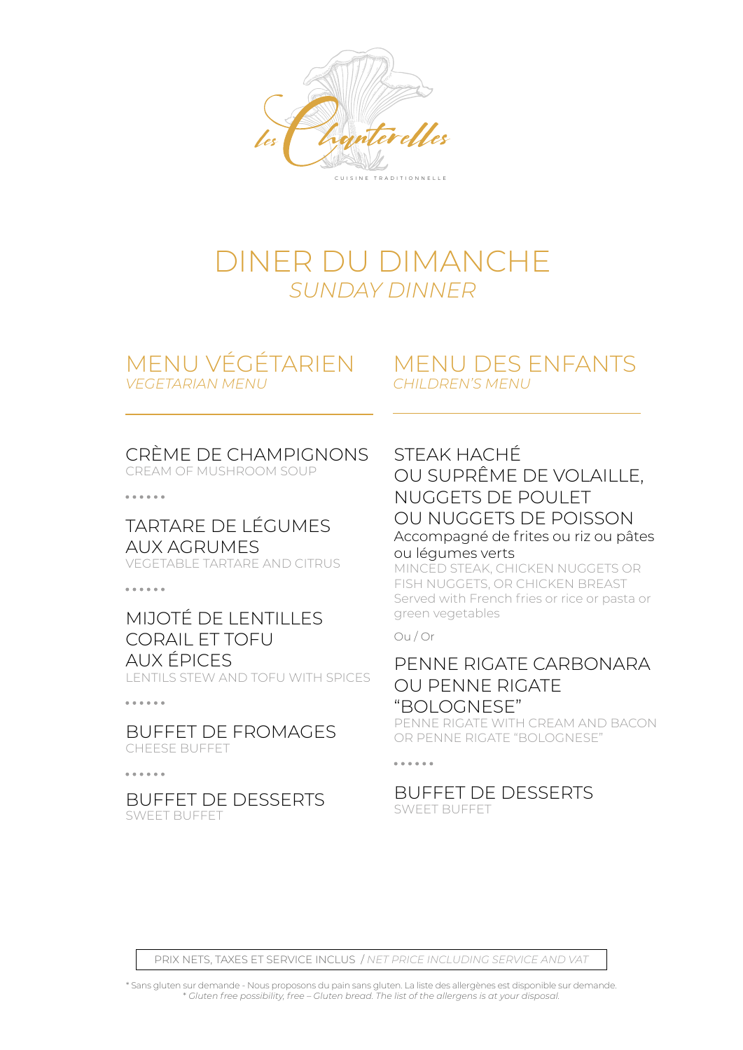

## DINER DU DIMANCHE *SUNDAY DINNER*

### MENU VÉGÉTARIEN *VEGETARIAN MENU*

### MENU DES ENFANTS *CHILDREN'S MENU*

### CRÈME DE CHAMPIGNONS

CREAM OF MUSHROOM SOUP

 $\frac{1}{2}$ 

TARTARE DE LÉGUMES AUX AGRUMES VEGETABLE TARTARE AND CITRUS

. . . . . .

### MIJOTÉ DE LENTILLES CORAIL ET TOFU AUX ÉPICES

LENTILS STEW AND TOFU WITH SPICES

#### . . . . . .

BUFFET DE FROMAGES CHEESE BUFFET

. . . . . .

BUFFET DE DESSERTS SWEET BUFFET

### STEAK HACHÉ

OU SUPRÊME DE VOLAILLE, NUGGETS DE POULET OU NUGGETS DE POISSON Accompagné de frites ou riz ou pâtes ou légumes verts

MINCED STEAK, CHICKEN NUGGETS OR FISH NUGGETS, OR CHICKEN BREAST Served with French fries or rice or pasta or green vegetables

#### Ou / Or

### PENNE RIGATE CARBONARA OU PENNE RIGATE "BOLOGNESE"

PENNE RIGATE WITH CREAM AND BACON OR PENNE RIGATE "BOLOGNESE"

#### . . . . . .

#### BUFFET DE DESSERTS SWEET BUFFET

PRIX NETS, TAXES ET SERVICE INCLUS / *NET PRICE INCLUDING SERVICE AND VAT*